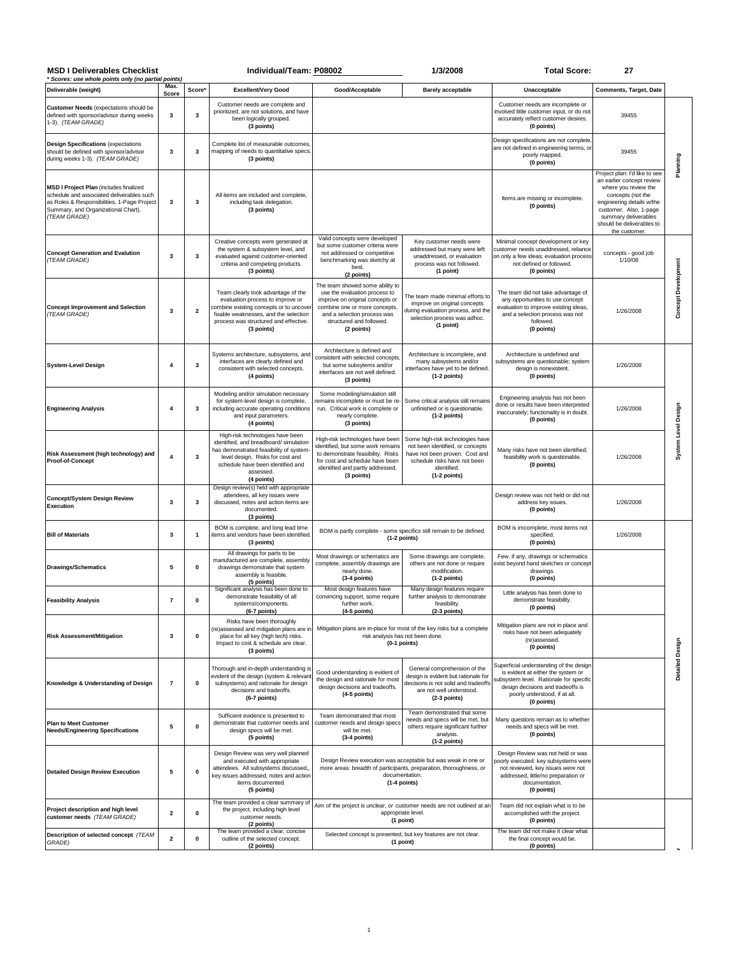| <b>MSD I Deliverables Checklist</b><br>* Scores: use whole points only (no partial points)                                                                                                |                     |                         | Individual/Team: P08002                                                                                                                                                                                                  |                                                                                                                                                                                                               | 1/3/2008                                                                                                                                                              | <b>Total Score:</b>                                                                                                                                                                                          | 27                                                                                                                                                                                                                                   |                            |
|-------------------------------------------------------------------------------------------------------------------------------------------------------------------------------------------|---------------------|-------------------------|--------------------------------------------------------------------------------------------------------------------------------------------------------------------------------------------------------------------------|---------------------------------------------------------------------------------------------------------------------------------------------------------------------------------------------------------------|-----------------------------------------------------------------------------------------------------------------------------------------------------------------------|--------------------------------------------------------------------------------------------------------------------------------------------------------------------------------------------------------------|--------------------------------------------------------------------------------------------------------------------------------------------------------------------------------------------------------------------------------------|----------------------------|
| Deliverable (weight)                                                                                                                                                                      | Max.<br>Score       | Score*                  | <b>Excellent/Very Good</b>                                                                                                                                                                                               | Good/Acceptable                                                                                                                                                                                               | <b>Barely acceptable</b>                                                                                                                                              | Unacceptable                                                                                                                                                                                                 | Comments, Target, Date                                                                                                                                                                                                               |                            |
| <b>Customer Needs (expectations should be</b><br>defined with sponsor/advisor during weeks<br>1-3). (TEAM GRADE)                                                                          | 3                   | 3                       | Customer needs are complete and<br>prioritized, are not solutions, and have<br>been logically grouped.<br>(3 points)                                                                                                     |                                                                                                                                                                                                               |                                                                                                                                                                       | Customer needs are incomplete or<br>involved little customer input, or do not<br>accurately reflect customer desires.<br>(0 points)                                                                          | 39455                                                                                                                                                                                                                                |                            |
| <b>Design Specifications (expectations</b><br>should be defined with sponsor/advisor<br>during weeks 1-3). (TEAM GRADE)                                                                   | 3                   | 3                       | Complete list of measurable outcomes<br>mapping of needs to quantitative specs.<br>(3 points)                                                                                                                            |                                                                                                                                                                                                               |                                                                                                                                                                       | Design specifications are not complete<br>are not defined in engineering terms, or<br>poorly mapped.<br>(0 points)                                                                                           | 39455                                                                                                                                                                                                                                | Planning                   |
| MSD I Project Plan (includes finalized<br>schedule and associated deliverables such<br>as Roles & Responsibilities, 1-Page Project<br>Summary, and Organizational Chart).<br>(TEAM GRADE) | 3                   | 3                       | All items are included and complete,<br>including task delegation.<br>(3 points)                                                                                                                                         |                                                                                                                                                                                                               |                                                                                                                                                                       | Items are missing or incomplete.<br>(0 points)                                                                                                                                                               | Project plan: I'd like to see<br>an earlier concept review<br>where you review the<br>concepts (not the<br>engineering details w/the<br>customer. Also, 1-page<br>summary deliverables<br>should be deliverables to<br>the customer. |                            |
| <b>Concept Generation and Evalution</b><br>(TEAM GRADE)                                                                                                                                   | 3                   | 3                       | Creative concepts were generated at<br>the system & subsystem level, and<br>evaluated against customer-oriented<br>criteria and competing products.<br>(3 points)                                                        | Valid concepts were developed<br>but some customer criteria were<br>not addressed or competitive<br>benchmarking was sketchy at<br>best.<br>(2 points)                                                        | Key customer needs were<br>addressed but many were left<br>unaddressed, or evaluation<br>process was not followed.<br>(1 point)                                       | Minimal concept development or key<br>customer needs unaddressed, reliance<br>on only a few ideas; evaluation process<br>not defined or followed.<br>(0 points)                                              | concepts - good job<br>1/10/08                                                                                                                                                                                                       |                            |
| <b>Concept Improvement and Selection</b><br>(TEAM GRADE)                                                                                                                                  | 3                   | $\overline{\mathbf{2}}$ | Team clearly took advantage of the<br>evaluation process to improve or<br>combine existing concepts or to uncover<br>fixable weaknesses, and the selection<br>process was structured and effective.<br>(3 points)        | The team showed some ability to<br>use the evaluation process to<br>improve on original concepts or<br>combine one or more concepts,<br>and a selection process was<br>structured and followed.<br>(2 points) | The team made minimal efforts to<br>improve on original concepts<br>during evaluation process, and the<br>selection process was adhoc.<br>(1 point)                   | The team did not take advantage of<br>any opportunities to use concept<br>evaluation to improve existing ideas,<br>and a selection process was not<br>followed.<br>(0 points)                                | 1/26/2008                                                                                                                                                                                                                            | <b>Concept Development</b> |
| <b>System-Level Design</b>                                                                                                                                                                | 4                   | 3                       | Systems architecture, subsystems, and<br>interfaces are clearly defined and<br>consistent with selected concepts.<br>(4 points)                                                                                          | Architecture is defined and<br>consistent with selected concepts,<br>but some subsytems and/or<br>interfaces are not well defined.<br>(3 points)                                                              | Architecture is incomplete, and<br>many subsystems and/or<br>interfaces have yet to be defined.<br>(1-2 points)                                                       | Architecture is undefined and<br>subsystems are questionable; system<br>design is nonexistent.<br>(0 points)                                                                                                 | 1/26/2008                                                                                                                                                                                                                            | System Level Design        |
| <b>Engineering Analysis</b>                                                                                                                                                               | $\overline{4}$      | 3                       | Modeling and/or simulation necessary<br>for system-level design is complete,<br>including accurate operating conditions<br>and input parameters.<br>(4 points)                                                           | Some modeling/simulation still<br>remains incomplete or must be re-<br>run. Critical work is complete or<br>nearly complete.<br>(3 points)                                                                    | Some critical analysis still remains<br>unfinished or is questionable.<br>(1-2 points)                                                                                | Engineering analysis has not been<br>done or results have been interpreted<br>inaccurately; functionality is in doubt.<br>(0 points)                                                                         | 1/26/2008                                                                                                                                                                                                                            |                            |
| Risk Assessment (high technology) and<br>Proof-of-Concept                                                                                                                                 | $\overline{4}$      | 3                       | High-risk technologies have been<br>identified, and breadboard/ simulation<br>has demonstrated feasibility of system-<br>level design. Risks for cost and<br>schedule have been identified and<br>assessed<br>(4 points) | High-risk technologies have been<br>identified, but some work remains<br>to demonstrate feasibility. Risks<br>for cost and schedule have been<br>identified and partly addressed.<br>(3 points)               | Some high-risk technologies have<br>not been identified, or concepts<br>have not been proven. Cost and<br>schedule risks have not been<br>identified.<br>(1-2 points) | Many risks have not been identified;<br>feasibility work is questionable.<br>(0 points)                                                                                                                      | 1/26/2008                                                                                                                                                                                                                            |                            |
| Concept/System Design Review<br>Execution                                                                                                                                                 | 3                   | 3                       | Design review(s) held with appropriate<br>attendees, all key issues were<br>discussed, notes and action items are<br>documented.<br>(3 points)                                                                           |                                                                                                                                                                                                               |                                                                                                                                                                       | Design review was not held or did not<br>address key issues.<br>(0 points)                                                                                                                                   | 1/26/2008                                                                                                                                                                                                                            |                            |
| <b>Bill of Materials</b>                                                                                                                                                                  | 3                   | $\overline{1}$          | BOM is complete, and long lead time<br>items and vendors have been identified<br>(3 points)                                                                                                                              | BOM is partly complete - some specifics still remain to be defined.<br>(1-2 points)                                                                                                                           |                                                                                                                                                                       | BOM is imcomplete, most items not<br>specified.<br>(0 points)                                                                                                                                                | 1/26/2008                                                                                                                                                                                                                            |                            |
| <b>Drawings/Schematics</b>                                                                                                                                                                | 5                   | $\pmb{0}$               | All drawings for parts to be<br>manufactured are complete, assembly<br>drawings demonstrate that system<br>assembly is feasible.<br>(5 points)                                                                           | Most drawings or schematics are<br>complete, assembly drawings are<br>nearly done.<br>(3-4 points)                                                                                                            | Some drawings are complete,<br>others are not done or require<br>modification.<br>(1-2 points)                                                                        | Few, if any, drawings or schematics<br>exist beyond hand sketches or concept<br>drawings.<br>(0 points)                                                                                                      |                                                                                                                                                                                                                                      |                            |
| <b>Feasibility Analysis</b>                                                                                                                                                               | $\scriptstyle\rm 7$ | 0                       | Significant analysis has been done to<br>demonstrate feasibility of all<br>systems/components.<br>(6-7 points)                                                                                                           | Most design features have<br>convincing support, some require<br>further work.<br>$(4-5$ points)                                                                                                              | Many design features require<br>further analysis to demonstrate<br>feasibility.<br>(2-3 points)                                                                       | Little analysis has been done to<br>demonstrate feasibility.<br>(0 points)                                                                                                                                   |                                                                                                                                                                                                                                      |                            |
| <b>Risk Assessment/Mitigation</b>                                                                                                                                                         | 3                   | $\mathbf 0$             | Risks have been thoroughly<br>(re)assessed and mitigation plans are in<br>place for all key (high tech) risks.<br>Impact to cost & schedule are clear.<br>(3 points)                                                     | Mitigation plans are in-place for most of the key risks but a complete<br>risk analysis has not been done.<br>$(0-1$ points)                                                                                  |                                                                                                                                                                       | Mitigation plans are not in place and<br>risks have not been adequately<br>(re)assessed.<br>(0 points)                                                                                                       |                                                                                                                                                                                                                                      |                            |
| Knowledge & Understanding of Design                                                                                                                                                       | $\overline{7}$      | $\mathbf 0$             | Thorough and in-depth understanding is<br>evident of the design (system & relevan<br>subsystems) and rationale for design<br>decisions and tradeoffs.<br>$(6-7$ points)                                                  | Good understanding is evident of<br>the design and rationale for most<br>design decisions and tradeoffs.<br>$(4-5$ points)                                                                                    | General comprehension of the<br>design is evident but rationale for<br>decisions is not solid and tradeoffs<br>are not well understood.<br>(2-3 points)               | Superficial understanding of the design<br>is evident at either the system or<br>subsystem level. Rationale for specific<br>design decisions and tradeoffs is<br>poorly understood, if at all.<br>(0 points) |                                                                                                                                                                                                                                      | Detailed Design            |
| <b>Plan to Meet Customer</b><br><b>Needs/Engineering Specifications</b>                                                                                                                   | 5                   | $\mathbf 0$             | Sufficient evidence is presented to<br>demonstrate that customer needs and<br>design specs will be met.<br>(5 points)                                                                                                    | Team demonstrated that most<br>customer needs and design specs<br>will be met.<br>$(3-4$ points)                                                                                                              | Team demonstrated that some<br>needs and specs will be met, but<br>others require significant further<br>analysis.<br>(1-2 points)                                    | Many questions remain as to whether<br>needs and specs will be met.<br>(0 points)                                                                                                                            |                                                                                                                                                                                                                                      |                            |
| <b>Detailed Design Review Execution</b>                                                                                                                                                   | 5                   | 0                       | Design Review was very well planned<br>and executed with appropriate<br>attendees. All subsystems discussed,<br>key issues addressed, notes and action<br>items documented.<br>(5 points)                                | Design Review execution was acceptable but was weak in one or<br>more areas: breadth of participants, preparation, thoroughness, or<br>documentation.<br>$(1-4$ points)                                       |                                                                                                                                                                       | Design Review was not held or was<br>oorly executed: key subsystems were<br>not reviewed, key issues were not<br>addressed, little/no preparation or<br>documentation.<br>(0 points)                         |                                                                                                                                                                                                                                      |                            |
| Project description and high level<br>customer needs (TEAM GRADE)                                                                                                                         | 2                   | $\mathbf 0$             | The team provided a clear summary of<br>the project, including high level<br>customer needs.<br>(2 points)                                                                                                               |                                                                                                                                                                                                               | Aim of the project is unclear, or customer needs are not outlined at an<br>appropriate level.<br>(1 point)                                                            | Team did not explain what is to be<br>accomplished with the project.<br>(0 points)                                                                                                                           |                                                                                                                                                                                                                                      |                            |
| Description of selected concept (TEAM<br>GRADE)                                                                                                                                           | 2                   | 0                       | The team provided a clear, concise<br>outline of the selected concept.<br>(2 points)                                                                                                                                     | Selected concept is presented, but key features are not clear.<br>(1 point)                                                                                                                                   |                                                                                                                                                                       | The team did not make it clear what<br>the final concept would be.<br>(0 points)                                                                                                                             |                                                                                                                                                                                                                                      |                            |